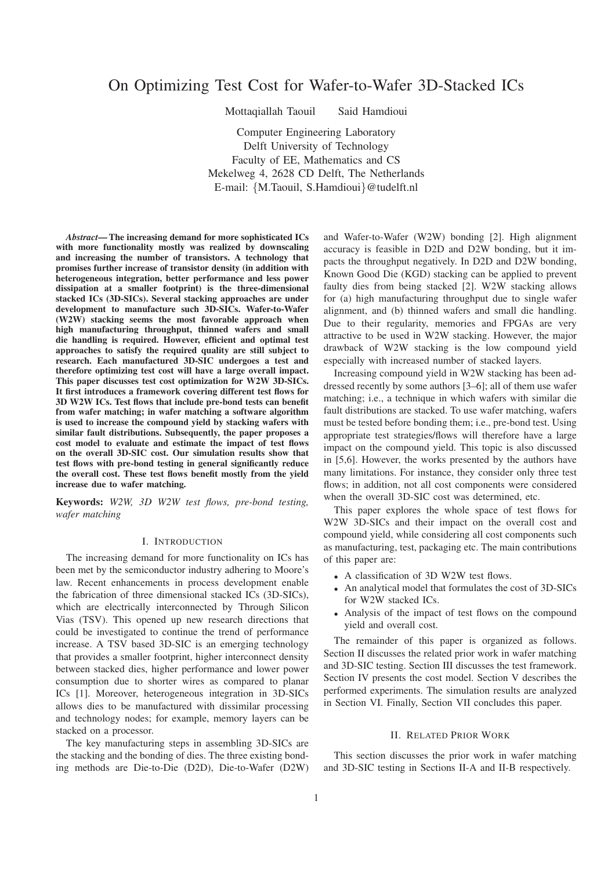# On Optimizing Test Cost for Wafer-to-Wafer 3D-Stacked ICs

Mottaqiallah Taouil Said Hamdioui

Computer Engineering Laboratory Delft University of Technology Faculty of EE, Mathematics and CS Mekelweg 4, 2628 CD Delft, The Netherlands E-mail: {M.Taouil, S.Hamdioui}@tudelft.nl

*Abstract***— The increasing demand for more sophisticated ICs with more functionality mostly was realized by downscaling and increasing the number of transistors. A technology that promises further increase of transistor density (in addition with heterogeneous integration, better performance and less power dissipation at a smaller footprint) is the three-dimensional stacked ICs (3D-SICs). Several stacking approaches are under development to manufacture such 3D-SICs. Wafer-to-Wafer (W2W) stacking seems the most favorable approach when high manufacturing throughput, thinned wafers and small die handling is required. However, efficient and optimal test approaches to satisfy the required quality are still subject to research. Each manufactured 3D-SIC undergoes a test and therefore optimizing test cost will have a large overall impact. This paper discusses test cost optimization for W2W 3D-SICs. It first introduces a framework covering different test flows for 3D W2W ICs. Test flows that include pre-bond tests can benefit from wafer matching; in wafer matching a software algorithm is used to increase the compound yield by stacking wafers with similar fault distributions. Subsequently, the paper proposes a cost model to evaluate and estimate the impact of test flows on the overall 3D-SIC cost. Our simulation results show that test flows with pre-bond testing in general significantly reduce the overall cost. These test flows benefit mostly from the yield increase due to wafer matching.**

**Keywords:** *W2W, 3D W2W test flows, pre-bond testing, wafer matching*

### I. INTRODUCTION

The increasing demand for more functionality on ICs has been met by the semiconductor industry adhering to Moore's law. Recent enhancements in process development enable the fabrication of three dimensional stacked ICs (3D-SICs), which are electrically interconnected by Through Silicon Vias (TSV). This opened up new research directions that could be investigated to continue the trend of performance increase. A TSV based 3D-SIC is an emerging technology that provides a smaller footprint, higher interconnect density between stacked dies, higher performance and lower power consumption due to shorter wires as compared to planar ICs [1]. Moreover, heterogeneous integration in 3D-SICs allows dies to be manufactured with dissimilar processing and technology nodes; for example, memory layers can be stacked on a processor.

The key manufacturing steps in assembling 3D-SICs are the stacking and the bonding of dies. The three existing bonding methods are Die-to-Die (D2D), Die-to-Wafer (D2W)

and Wafer-to-Wafer (W2W) bonding [2]. High alignment accuracy is feasible in D2D and D2W bonding, but it impacts the throughput negatively. In D2D and D2W bonding, Known Good Die (KGD) stacking can be applied to prevent faulty dies from being stacked [2]. W2W stacking allows for (a) high manufacturing throughput due to single wafer alignment, and (b) thinned wafers and small die handling. Due to their regularity, memories and FPGAs are very attractive to be used in W2W stacking. However, the major drawback of W2W stacking is the low compound yield especially with increased number of stacked layers.

Increasing compound yield in W2W stacking has been addressed recently by some authors [3–6]; all of them use wafer matching; i.e., a technique in which wafers with similar die fault distributions are stacked. To use wafer matching, wafers must be tested before bonding them; i.e., pre-bond test. Using appropriate test strategies/flows will therefore have a large impact on the compound yield. This topic is also discussed in [5,6]. However, the works presented by the authors have many limitations. For instance, they consider only three test flows; in addition, not all cost components were considered when the overall 3D-SIC cost was determined, etc.

This paper explores the whole space of test flows for W2W 3D-SICs and their impact on the overall cost and compound yield, while considering all cost components such as manufacturing, test, packaging etc. The main contributions of this paper are:

- A classification of 3D W2W test flows.
- An analytical model that formulates the cost of 3D-SICs for W2W stacked ICs.
- Analysis of the impact of test flows on the compound yield and overall cost.

The remainder of this paper is organized as follows. Section II discusses the related prior work in wafer matching and 3D-SIC testing. Section III discusses the test framework. Section IV presents the cost model. Section V describes the performed experiments. The simulation results are analyzed in Section VI. Finally, Section VII concludes this paper.

#### II. RELATED PRIOR WORK

This section discusses the prior work in wafer matching and 3D-SIC testing in Sections II-A and II-B respectively.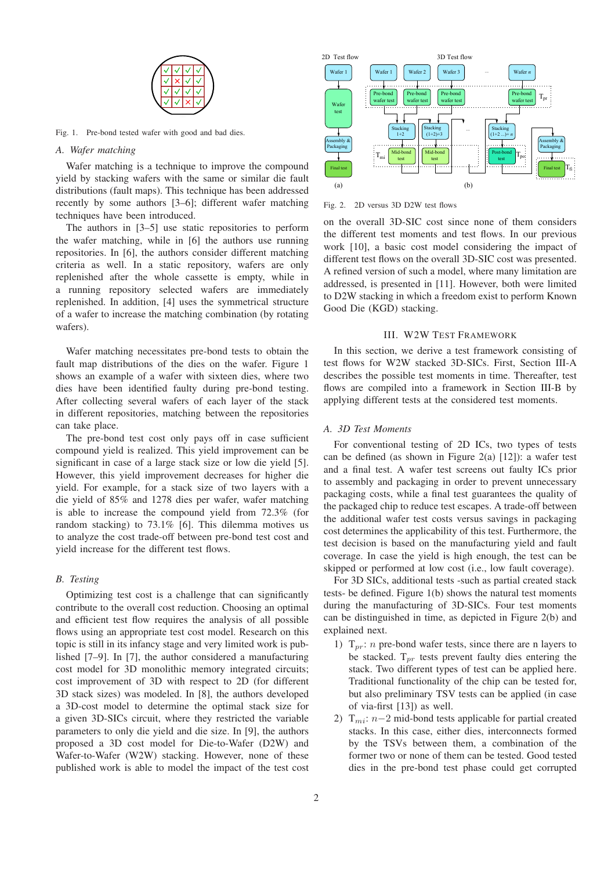

Fig. 1. Pre-bond tested wafer with good and bad dies.

### *A. Wafer matching*

Wafer matching is a technique to improve the compound yield by stacking wafers with the same or similar die fault distributions (fault maps). This technique has been addressed recently by some authors [3–6]; different wafer matching techniques have been introduced.

The authors in [3–5] use static repositories to perform the wafer matching, while in [6] the authors use running repositories. In [6], the authors consider different matching criteria as well. In a static repository, wafers are only replenished after the whole cassette is empty, while in a running repository selected wafers are immediately replenished. In addition, [4] uses the symmetrical structure of a wafer to increase the matching combination (by rotating wafers).

Wafer matching necessitates pre-bond tests to obtain the fault map distributions of the dies on the wafer. Figure 1 shows an example of a wafer with sixteen dies, where two dies have been identified faulty during pre-bond testing. After collecting several wafers of each layer of the stack in different repositories, matching between the repositories can take place.

The pre-bond test cost only pays off in case sufficient compound yield is realized. This yield improvement can be significant in case of a large stack size or low die yield [5]. However, this yield improvement decreases for higher die yield. For example, for a stack size of two layers with a die yield of 85% and 1278 dies per wafer, wafer matching is able to increase the compound yield from 72.3% (for random stacking) to 73.1% [6]. This dilemma motives us to analyze the cost trade-off between pre-bond test cost and yield increase for the different test flows.

## *B. Testing*

Optimizing test cost is a challenge that can significantly contribute to the overall cost reduction. Choosing an optimal and efficient test flow requires the analysis of all possible flows using an appropriate test cost model. Research on this topic is still in its infancy stage and very limited work is published [7–9]. In [7], the author considered a manufacturing cost model for 3D monolithic memory integrated circuits; cost improvement of 3D with respect to 2D (for different 3D stack sizes) was modeled. In [8], the authors developed a 3D-cost model to determine the optimal stack size for a given 3D-SICs circuit, where they restricted the variable parameters to only die yield and die size. In [9], the authors proposed a 3D cost model for Die-to-Wafer (D2W) and Wafer-to-Wafer (W2W) stacking. However, none of these published work is able to model the impact of the test cost



Fig. 2. 2D versus 3D D2W test flows

on the overall 3D-SIC cost since none of them considers the different test moments and test flows. In our previous work [10], a basic cost model considering the impact of different test flows on the overall 3D-SIC cost was presented. A refined version of such a model, where many limitation are addressed, is presented in [11]. However, both were limited to D2W stacking in which a freedom exist to perform Known Good Die (KGD) stacking.

## III. W2W TEST FRAMEWORK

In this section, we derive a test framework consisting of test flows for W2W stacked 3D-SICs. First, Section III-A describes the possible test moments in time. Thereafter, test flows are compiled into a framework in Section III-B by applying different tests at the considered test moments.

### *A. 3D Test Moments*

For conventional testing of 2D ICs, two types of tests can be defined (as shown in Figure 2(a)  $[12]$ ): a wafer test and a final test. A wafer test screens out faulty ICs prior to assembly and packaging in order to prevent unnecessary packaging costs, while a final test guarantees the quality of the packaged chip to reduce test escapes. A trade-off between the additional wafer test costs versus savings in packaging cost determines the applicability of this test. Furthermore, the test decision is based on the manufacturing yield and fault coverage. In case the yield is high enough, the test can be skipped or performed at low cost (i.e., low fault coverage).

For 3D SICs, additional tests -such as partial created stack tests- be defined. Figure 1(b) shows the natural test moments during the manufacturing of 3D-SICs. Four test moments can be distinguished in time, as depicted in Figure 2(b) and explained next.

- 1)  $T_{pr}: n$  pre-bond wafer tests, since there are n layers to be stacked.  $T_{pr}$  tests prevent faulty dies entering the stack. Two different types of test can be applied here. Traditional functionality of the chip can be tested for, but also preliminary TSV tests can be applied (in case of via-first [13]) as well.
- 2)  $T_{mi}: n-2$  mid-bond tests applicable for partial created stacks. In this case, either dies, interconnects formed by the TSVs between them, a combination of the former two or none of them can be tested. Good tested dies in the pre-bond test phase could get corrupted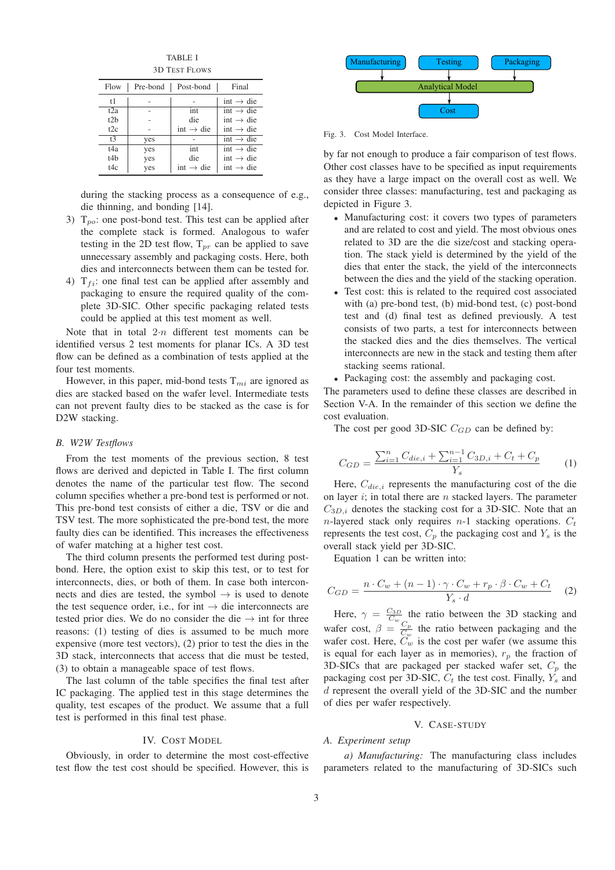TABLE I 3D TEST FLOWS

| Flow           | Pre-bond | Post-bond             | Final                 |
|----------------|----------|-----------------------|-----------------------|
| t1             |          |                       | int $\rightarrow$ die |
| t2a            |          | int                   | int $\rightarrow$ die |
| t2h            |          | die                   | int $\rightarrow$ die |
| 12c            |          | int $\rightarrow$ die | $int \rightarrow die$ |
| t <sup>3</sup> | yes      |                       | $int \rightarrow die$ |
| t4a            | yes      | int                   | int $\rightarrow$ die |
| t4b            | yes      | die                   | int $\rightarrow$ die |
| t4c            | yes      | int $\rightarrow$ die | int $\rightarrow$ die |

during the stacking process as a consequence of e.g., die thinning, and bonding [14].

- 3)  $T_{po}$ : one post-bond test. This test can be applied after the complete stack is formed. Analogous to wafer testing in the 2D test flow,  $T_{pr}$  can be applied to save unnecessary assembly and packaging costs. Here, both dies and interconnects between them can be tested for.
- 4)  $T_{fi}$ : one final test can be applied after assembly and packaging to ensure the required quality of the complete 3D-SIC. Other specific packaging related tests could be applied at this test moment as well.

Note that in total  $2 \cdot n$  different test moments can be identified versus 2 test moments for planar ICs. A 3D test flow can be defined as a combination of tests applied at the four test moments.

However, in this paper, mid-bond tests  $T_{mi}$  are ignored as dies are stacked based on the wafer level. Intermediate tests can not prevent faulty dies to be stacked as the case is for D2W stacking.

#### *B. W2W Testflows*

From the test moments of the previous section, 8 test flows are derived and depicted in Table I. The first column denotes the name of the particular test flow. The second column specifies whether a pre-bond test is performed or not. This pre-bond test consists of either a die, TSV or die and TSV test. The more sophisticated the pre-bond test, the more faulty dies can be identified. This increases the effectiveness of wafer matching at a higher test cost.

The third column presents the performed test during postbond. Here, the option exist to skip this test, or to test for interconnects, dies, or both of them. In case both interconnects and dies are tested, the symbol  $\rightarrow$  is used to denote the test sequence order, i.e., for int  $\rightarrow$  die interconnects are tested prior dies. We do no consider the die  $\rightarrow$  int for three reasons: (1) testing of dies is assumed to be much more expensive (more test vectors), (2) prior to test the dies in the 3D stack, interconnects that access that die must be tested, (3) to obtain a manageable space of test flows.

The last column of the table specifies the final test after IC packaging. The applied test in this stage determines the quality, test escapes of the product. We assume that a full test is performed in this final test phase.

# IV. COST MODEL

Obviously, in order to determine the most cost-effective test flow the test cost should be specified. However, this is



Fig. 3. Cost Model Interface.

by far not enough to produce a fair comparison of test flows. Other cost classes have to be specified as input requirements as they have a large impact on the overall cost as well. We consider three classes: manufacturing, test and packaging as depicted in Figure 3.

- Manufacturing cost: it covers two types of parameters and are related to cost and yield. The most obvious ones related to 3D are the die size/cost and stacking operation. The stack yield is determined by the yield of the dies that enter the stack, the yield of the interconnects between the dies and the yield of the stacking operation.
- Test cost: this is related to the required cost associated with (a) pre-bond test, (b) mid-bond test, (c) post-bond test and (d) final test as defined previously. A test consists of two parts, a test for interconnects between the stacked dies and the dies themselves. The vertical interconnects are new in the stack and testing them after stacking seems rational.
- Packaging cost: the assembly and packaging cost.

The parameters used to define these classes are described in Section V-A. In the remainder of this section we define the cost evaluation.

The cost per good 3D-SIC  $C_{GD}$  can be defined by:

$$
C_{GD} = \frac{\sum_{i=1}^{n} C_{die,i} + \sum_{i=1}^{n-1} C_{3D,i} + C_t + C_p}{Y_s}
$$
 (1)

Here,  $C_{die,i}$  represents the manufacturing cost of the die on layer  $i$ ; in total there are  $n$  stacked layers. The parameter  $C_{3D,i}$  denotes the stacking cost for a 3D-SIC. Note that an n-layered stack only requires n-1 stacking operations.  $C_t$ represents the test cost,  $C_p$  the packaging cost and  $Y_s$  is the overall stack yield per 3D-SIC.

Equation 1 can be written into:

$$
C_{GD} = \frac{n \cdot C_w + (n-1) \cdot \gamma \cdot C_w + r_p \cdot \beta \cdot C_w + C_t}{Y_s \cdot d} \tag{2}
$$

Here,  $\gamma = \frac{C_{3D}}{C_w}$  the ratio between the 3D stacking and wafer cost,  $\beta = \frac{C_p}{C}$  $\frac{C_p}{C_w}$  the ratio between packaging and the wafer cost. Here,  $C_w$  is the cost per wafer (we assume this is equal for each layer as in memories),  $r_p$  the fraction of 3D-SICs that are packaged per stacked wafer set,  $C_p$  the packaging cost per 3D-SIC,  $C_t$  the test cost. Finally,  $Y_s$  and d represent the overall yield of the 3D-SIC and the number of dies per wafer respectively.

# V. CASE-STUDY

# *A. Experiment setup*

*a) Manufacturing:* The manufacturing class includes parameters related to the manufacturing of 3D-SICs such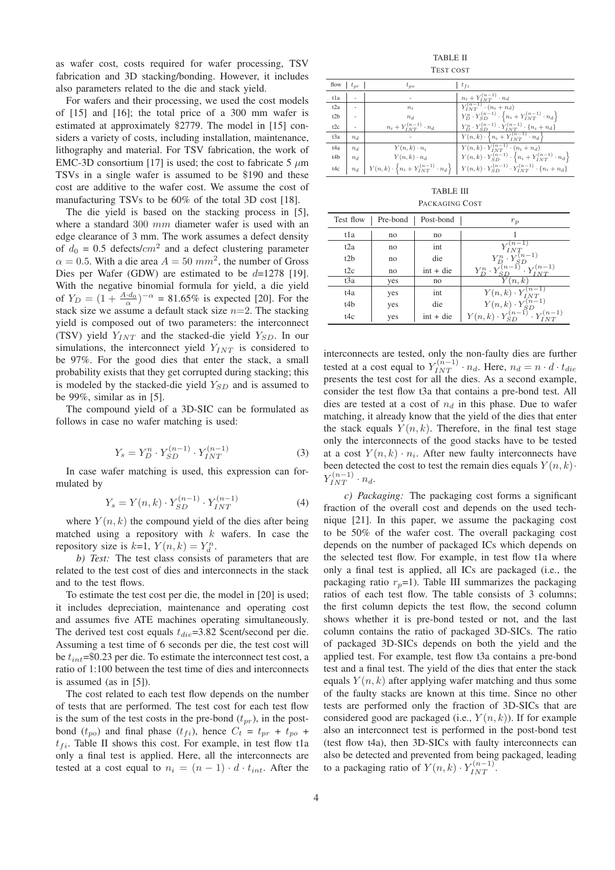as wafer cost, costs required for wafer processing, TSV fabrication and 3D stacking/bonding. However, it includes also parameters related to the die and stack yield.

For wafers and their processing, we used the cost models of [15] and [16]; the total price of a 300 mm wafer is estimated at approximately \$2779. The model in [15] considers a variety of costs, including installation, maintenance, lithography and material. For TSV fabrication, the work of EMC-3D consortium [17] is used; the cost to fabricate 5  $\mu$ m TSVs in a single wafer is assumed to be \$190 and these cost are additive to the wafer cost. We assume the cost of manufacturing TSVs to be 60% of the total 3D cost [18].

The die yield is based on the stacking process in [5], where a standard 300 mm diameter wafer is used with an edge clearance of 3 mm. The work assumes a defect density of  $d_0 = 0.5$  defects/ $cm^2$  and a defect clustering parameter  $\alpha = 0.5$ . With a die area  $A = 50$   $mm^2$ , the number of Gross Dies per Wafer (GDW) are estimated to be  $d=1278$  [19]. With the negative binomial formula for yield, a die yield of  $Y_D = (1 + \frac{A \cdot d_0}{\alpha})^{-\alpha} = 81.65\%$  is expected [20]. For the stack size we assume a default stack size  $n=2$ . The stacking yield is composed out of two parameters: the interconnect (TSV) yield  $Y_{INT}$  and the stacked-die yield  $Y_{SD}$ . In our simulations, the interconnect yield  $Y_{INT}$  is considered to be 97%. For the good dies that enter the stack, a small probability exists that they get corrupted during stacking; this is modeled by the stacked-die yield  $Y_{SD}$  and is assumed to be 99%, similar as in [5].

The compound yield of a 3D-SIC can be formulated as follows in case no wafer matching is used:

$$
Y_s = Y_D^n \cdot Y_{SD}^{(n-1)} \cdot Y_{INT}^{(n-1)}
$$
 (3)

In case wafer matching is used, this expression can formulated by

$$
Y_s = Y(n,k) \cdot Y_{SD}^{(n-1)} \cdot Y_{INT}^{(n-1)}
$$
 (4)

where  $Y(n, k)$  the compound yield of the dies after being matched using a repository with  $k$  wafers. In case the repository size is  $k=1$ ,  $Y(n,k) = Y_d^n$ .

*b) Test:* The test class consists of parameters that are related to the test cost of dies and interconnects in the stack and to the test flows.

To estimate the test cost per die, the model in [20] is used; it includes depreciation, maintenance and operating cost and assumes five ATE machines operating simultaneously. The derived test cost equals  $t_{die} = 3.82$  \$cent/second per die. Assuming a test time of 6 seconds per die, the test cost will be  $t_{int}$ =\$0.23 per die. To estimate the interconnect test cost, a ratio of 1:100 between the test time of dies and interconnects is assumed (as in [5]).

The cost related to each test flow depends on the number of tests that are performed. The test cost for each test flow is the sum of the test costs in the pre-bond  $(t_{pr})$ , in the postbond  $(t_{po})$  and final phase  $(t_{fi})$ , hence  $C_t = t_{pr} + t_{po} +$  $t_{fi}$ . Table II shows this cost. For example, in test flow t1a only a final test is applied. Here, all the interconnects are tested at a cost equal to  $n_i = (n-1) \cdot d \cdot t_{int}$ . After the

TABLE II TEST COST

| flow $t_{pr}$    |                | $t_{po}$                                                        | $t_{fi}$                                                                             |
|------------------|----------------|-----------------------------------------------------------------|--------------------------------------------------------------------------------------|
| tla              |                |                                                                 | $n_i + Y_{INT}^{(n-1)} \cdot n_d$                                                    |
| t <sub>2</sub> a | $\overline{a}$ | $n_i$                                                           | $Y^{(n-1)}_{INT} \cdot (n_i + n_d)$                                                  |
| t <sub>2</sub> b | $\overline{a}$ | $n_d$                                                           | $Y_D^n \cdot Y_{SD}^{(n-1)} \cdot \left\{ n_i + Y_{INT}^{(n-1)} \cdot n_d \right\}$  |
| t2c              |                | $n_i + Y_{INT}^{(n-1)} \cdot n_d$                               | $Y_D^n \cdot Y_{SD}^{(n-1)} \cdot Y_{INT}^{(n-1)} \cdot \{n_i + n_d\}$               |
| t3a              | $n_d$          |                                                                 | $Y(n,k) \cdot \left\{ n_i + Y_{INT}^{(n-1)} \cdot n_d \right\}$                      |
| t4a              | $n_d$          | $Y(n,k) \cdot n_i$                                              | $Y(n,k) \cdot Y_{INT}^{(n-1)} \cdot (n_i + n_d)$                                     |
| t4b              | $n_d$          | $Y(n,k) \cdot n_d$                                              | $Y(n,k) \cdot Y_{SD}^{(n-1)} \cdot \left\{ n_i + Y_{INT}^{(n-1)} \cdot n_d \right\}$ |
| t4c              | $n_d$          | $Y(n,k) \cdot \left\{ n_i + Y_{INT}^{(n-1)} \cdot n_d \right\}$ | $Y(n,k) \cdot Y_{SD}^{(n-1)} \cdot Y_{INT}^{(n-1)} \cdot \{n_i + n_d\}$              |

| PACKAGING COST |  |
|----------------|--|
|----------------|--|

| Test flow        | Pre-bond | Post-bond   | $r_p$                                                                                                                                           |
|------------------|----------|-------------|-------------------------------------------------------------------------------------------------------------------------------------------------|
| t1a              | no       | no          |                                                                                                                                                 |
| t <sub>2</sub> a | no       | int         | $Y_{INT}^{(n-1)}$                                                                                                                               |
| t2h              | no       | die         | $\begin{array}{c} Y_D^{n+Y_{SD}^{(n-1)}} \\ Y_D^{n} \cdot Y_{SD}^{(n-1)} \\ Y_D^{n} \cdot Y_{SD}^{(n-1)} \cdot Y_{SLO}^{(n-1)} \end{array}$     |
| t2c              | no       | $int + die$ |                                                                                                                                                 |
| t3a              | yes      | no          | Y(n,k)                                                                                                                                          |
| t4a              | yes      | int         |                                                                                                                                                 |
| t4b              | yes      | die         |                                                                                                                                                 |
| t4c              | yes      | $int + die$ | $\begin{array}{c} Y(n,k) \cdot Y_{INT}^{(n-1)} \\ Y(n,k) \cdot Y_{SD}^{(n-1)} \\ Y(n,k) \cdot Y_{SD}^{(n-1)} \cdot Y_{INT}^{(n-1)} \end{array}$ |

interconnects are tested, only the non-faulty dies are further tested at a cost equal to  $Y_{INT}^{(n-1)} \cdot n_d$ . Here,  $n_d = n \cdot d \cdot t_{die}$ presents the test cost for all the dies. As a second example, consider the test flow t3a that contains a pre-bond test. All dies are tested at a cost of  $n_d$  in this phase. Due to wafer matching, it already know that the yield of the dies that enter the stack equals  $Y(n, k)$ . Therefore, in the final test stage only the interconnects of the good stacks have to be tested at a cost  $Y(n, k) \cdot n_i$ . After new faulty interconnects have been detected the cost to test the remain dies equals  $Y(n, k)$ .  $Y_{INT}^{(n-1)} \cdot n_d.$ 

*c) Packaging:* The packaging cost forms a significant fraction of the overall cost and depends on the used technique [21]. In this paper, we assume the packaging cost to be 50% of the wafer cost. The overall packaging cost depends on the number of packaged ICs which depends on the selected test flow. For example, in test flow t1a where only a final test is applied, all ICs are packaged (i.e., the packaging ratio  $r_p=1$ ). Table III summarizes the packaging ratios of each test flow. The table consists of 3 columns; the first column depicts the test flow, the second column shows whether it is pre-bond tested or not, and the last column contains the ratio of packaged 3D-SICs. The ratio of packaged 3D-SICs depends on both the yield and the applied test. For example, test flow t3a contains a pre-bond test and a final test. The yield of the dies that enter the stack equals  $Y(n, k)$  after applying wafer matching and thus some of the faulty stacks are known at this time. Since no other tests are performed only the fraction of 3D-SICs that are considered good are packaged (i.e.,  $Y(n, k)$ ). If for example also an interconnect test is performed in the post-bond test (test flow t4a), then 3D-SICs with faulty interconnects can also be detected and prevented from being packaged, leading to a packaging ratio of  $Y(n, k) \cdot Y_{INT}^{(n-1)}$ .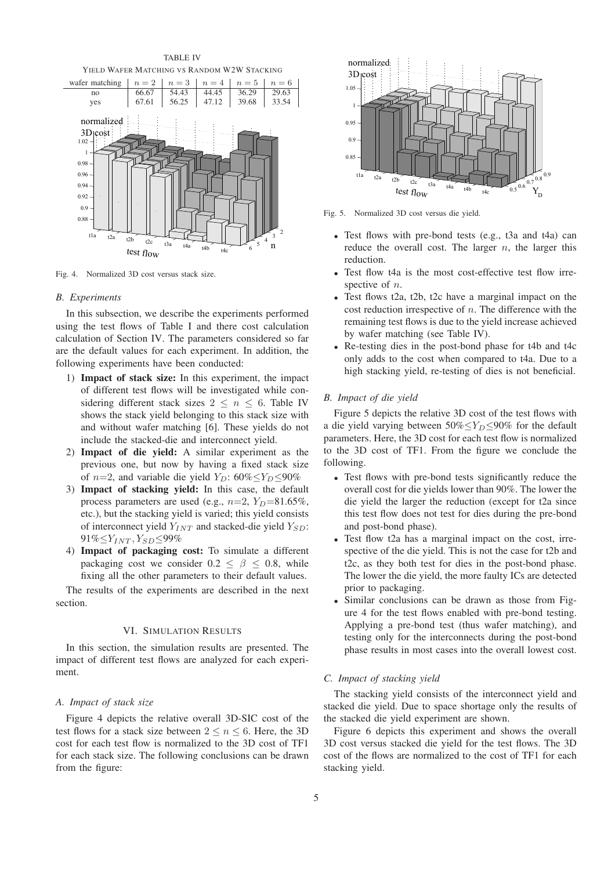

Fig. 4. Normalized 3D cost versus stack size.

#### *B. Experiments*

In this subsection, we describe the experiments performed using the test flows of Table I and there cost calculation calculation of Section IV. The parameters considered so far are the default values for each experiment. In addition, the following experiments have been conducted:

- 1) **Impact of stack size:** In this experiment, the impact of different test flows will be investigated while considering different stack sizes  $2 \leq n \leq 6$ . Table IV shows the stack yield belonging to this stack size with and without wafer matching [6]. These yields do not include the stacked-die and interconnect yield.
- 2) **Impact of die yield:** A similar experiment as the previous one, but now by having a fixed stack size of  $n=2$ , and variable die yield  $Y_D$ : 60%≤ $Y_D \le 90\%$
- 3) **Impact of stacking yield:** In this case, the default process parameters are used (e.g.,  $n=2$ ,  $Y_D=81.65\%$ , etc.), but the stacking yield is varied; this yield consists of interconnect yield  $Y_{INT}$  and stacked-die yield  $Y_{SD}$ :  $91\% \leq Y_{INT}$ ,  $Y_{SD} \leq 99\%$
- 4) **Impact of packaging cost:** To simulate a different packaging cost we consider  $0.2 \le \beta \le 0.8$ , while fixing all the other parameters to their default values.

The results of the experiments are described in the next section.

### VI. SIMULATION RESULTS

In this section, the simulation results are presented. The impact of different test flows are analyzed for each experiment.

# *A. Impact of stack size*

Figure 4 depicts the relative overall 3D-SIC cost of the test flows for a stack size between  $2 \le n \le 6$ . Here, the 3D cost for each test flow is normalized to the 3D cost of TF1 for each stack size. The following conclusions can be drawn from the figure:



Fig. 5. Normalized 3D cost versus die yield.

- Test flows with pre-bond tests (e.g., t3a and t4a) can reduce the overall cost. The larger  $n$ , the larger this reduction.
- Test flow t4a is the most cost-effective test flow irrespective of *n*.
- Test flows t2a, t2b, t2c have a marginal impact on the cost reduction irrespective of  $n$ . The difference with the remaining test flows is due to the yield increase achieved by wafer matching (see Table IV).
- Re-testing dies in the post-bond phase for t4b and t4c only adds to the cost when compared to t4a. Due to a high stacking yield, re-testing of dies is not beneficial.

### *B. Impact of die yield*

Figure 5 depicts the relative 3D cost of the test flows with a die yield varying between  $50\% \le Y_D \le 90\%$  for the default parameters. Here, the 3D cost for each test flow is normalized to the 3D cost of TF1. From the figure we conclude the following.

- Test flows with pre-bond tests significantly reduce the overall cost for die yields lower than 90%. The lower the die yield the larger the reduction (except for t2a since this test flow does not test for dies during the pre-bond and post-bond phase).
- Test flow t2a has a marginal impact on the cost, irrespective of the die yield. This is not the case for t2b and t2c, as they both test for dies in the post-bond phase. The lower the die yield, the more faulty ICs are detected prior to packaging.
- Similar conclusions can be drawn as those from Figure 4 for the test flows enabled with pre-bond testing. Applying a pre-bond test (thus wafer matching), and testing only for the interconnects during the post-bond phase results in most cases into the overall lowest cost.

# *C. Impact of stacking yield*

The stacking yield consists of the interconnect yield and stacked die yield. Due to space shortage only the results of the stacked die yield experiment are shown.

Figure 6 depicts this experiment and shows the overall 3D cost versus stacked die yield for the test flows. The 3D cost of the flows are normalized to the cost of TF1 for each stacking yield.